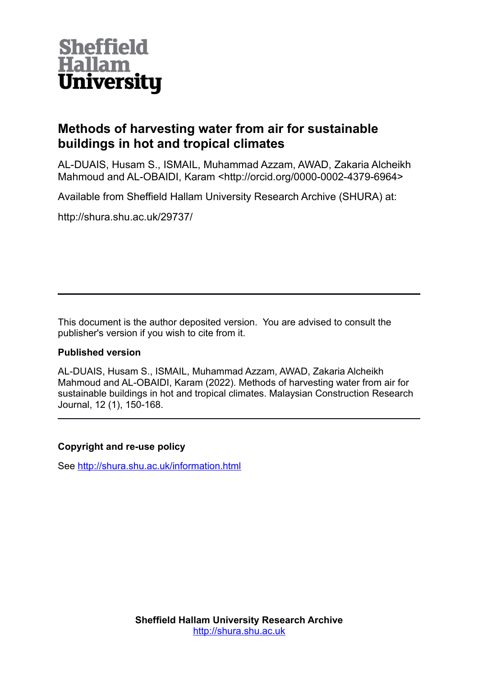

# **Methods of harvesting water from air for sustainable buildings in hot and tropical climates**

AL-DUAIS, Husam S., ISMAIL, Muhammad Azzam, AWAD, Zakaria Alcheikh Mahmoud and AL-OBAIDI, Karam <http://orcid.org/0000-0002-4379-6964>

Available from Sheffield Hallam University Research Archive (SHURA) at:

http://shura.shu.ac.uk/29737/

This document is the author deposited version. You are advised to consult the publisher's version if you wish to cite from it.

## **Published version**

AL-DUAIS, Husam S., ISMAIL, Muhammad Azzam, AWAD, Zakaria Alcheikh Mahmoud and AL-OBAIDI, Karam (2022). Methods of harvesting water from air for sustainable buildings in hot and tropical climates. Malaysian Construction Research Journal, 12 (1), 150-168.

## **Copyright and re-use policy**

See<http://shura.shu.ac.uk/information.html>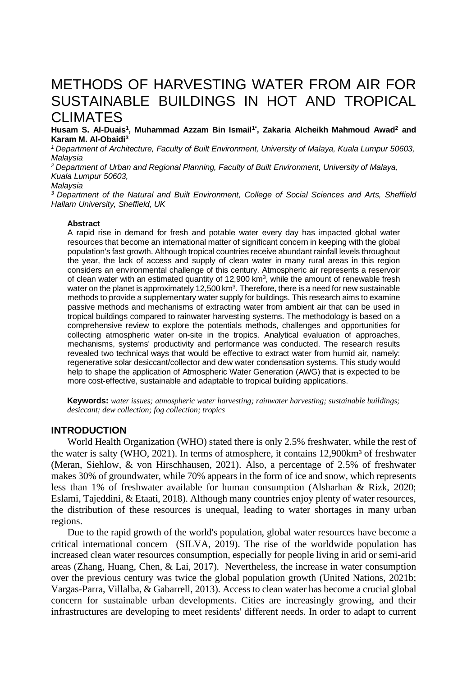# METHODS OF HARVESTING WATER FROM AIR FOR SUSTAINABLE BUILDINGS IN HOT AND TROPICAL CLIMATES

**Husam S. Al-Duais<sup>1</sup> , Muhammad Azzam Bin Ismail1\* , Zakaria Alcheikh Mahmoud Awad<sup>2</sup> and Karam M. Al-Obaidi<sup>3</sup>**

*<sup>1</sup>Department of Architecture, Faculty of Built Environment, University of Malaya, Kuala Lumpur 50603, Malaysia*

*<sup>2</sup>Department of Urban and Regional Planning, Faculty of Built Environment, University of Malaya, Kuala Lumpur 50603,*

#### *Malaysia*

*<sup>3</sup>Department of the Natural and Built Environment, College of Social Sciences and Arts, Sheffield Hallam University, Sheffield, UK*

#### **Abstract**

A rapid rise in demand for fresh and potable water every day has impacted global water resources that become an international matter of significant concern in keeping with the global population's fast growth. Although tropical countries receive abundant rainfall levels throughout the year, the lack of access and supply of clean water in many rural areas in this region considers an environmental challenge of this century. Atmospheric air represents a reservoir of clean water with an estimated quantity of 12,900 km<sup>3</sup>, while the amount of renewable fresh water on the planet is approximately 12,500 km<sup>3</sup>. Therefore, there is a need for new sustainable methods to provide a supplementary water supply for buildings. This research aims to examine passive methods and mechanisms of extracting water from ambient air that can be used in tropical buildings compared to rainwater harvesting systems. The methodology is based on a comprehensive review to explore the potentials methods, challenges and opportunities for collecting atmospheric water on-site in the tropics. Analytical evaluation of approaches, mechanisms, systems' productivity and performance was conducted. The research results revealed two technical ways that would be effective to extract water from humid air, namely: regenerative solar desiccant/collector and dew water condensation systems. This study would help to shape the application of Atmospheric Water Generation (AWG) that is expected to be more cost-effective, sustainable and adaptable to tropical building applications.

**Keywords:** *water issues; atmospheric water harvesting; rainwater harvesting; sustainable buildings; desiccant; dew collection; fog collection; tropics*

## **INTRODUCTION**

World Health Organization (WHO) stated there is only 2.5% freshwater, while the rest of the water is salty (WHO, 2021). In terms of atmosphere, it contains  $12,900 \text{km}^3$  of freshwater (Meran, Siehlow, & von Hirschhausen, 2021). Also, a percentage of 2.5% of freshwater makes 30% of groundwater, while 70% appears in the form of ice and snow, which represents less than 1% of freshwater available for human consumption (Alsharhan & Rizk, 2020; Eslami, Tajeddini, & Etaati, 2018). Although many countries enjoy plenty of water resources, the distribution of these resources is unequal, leading to water shortages in many urban regions.

Due to the rapid growth of the world's population, global water resources have become a critical international concern (SILVA, 2019). The rise of the worldwide population has increased clean water resources consumption, especially for people living in arid or semi-arid areas (Zhang, Huang, Chen, & Lai, 2017). Nevertheless, the increase in water consumption over the previous century was twice the global population growth (United Nations, 2021b; Vargas-Parra, Villalba, & Gabarrell, 2013). Access to clean water has become a crucial global concern for sustainable urban developments. Cities are increasingly growing, and their infrastructures are developing to meet residents' different needs. In order to adapt to current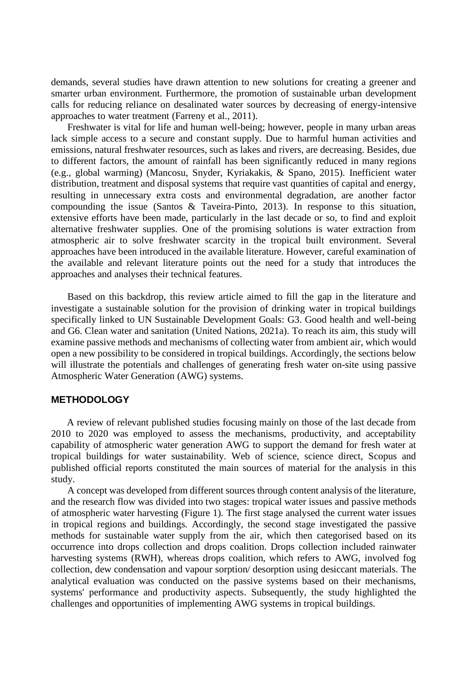demands, several studies have drawn attention to new solutions for creating a greener and smarter urban environment. Furthermore, the promotion of sustainable urban development calls for reducing reliance on desalinated water sources by decreasing of energy-intensive approaches to water treatment (Farreny et al., 2011).

Freshwater is vital for life and human well-being; however, people in many urban areas lack simple access to a secure and constant supply. Due to harmful human activities and emissions, natural freshwater resources, such as lakes and rivers, are decreasing. Besides, due to different factors, the amount of rainfall has been significantly reduced in many regions (e.g., global warming) (Mancosu, Snyder, Kyriakakis, & Spano, 2015). Inefficient water distribution, treatment and disposal systems that require vast quantities of capital and energy, resulting in unnecessary extra costs and environmental degradation, are another factor compounding the issue (Santos & Taveira-Pinto, 2013). In response to this situation, extensive efforts have been made, particularly in the last decade or so, to find and exploit alternative freshwater supplies. One of the promising solutions is water extraction from atmospheric air to solve freshwater scarcity in the tropical built environment. Several approaches have been introduced in the available literature. However, careful examination of the available and relevant literature points out the need for a study that introduces the approaches and analyses their technical features.

Based on this backdrop, this review article aimed to fill the gap in the literature and investigate a sustainable solution for the provision of drinking water in tropical buildings specifically linked to UN Sustainable Development Goals: G3. Good health and well-being and G6. Clean water and sanitation (United Nations, 2021a). To reach its aim, this study will examine passive methods and mechanisms of collecting water from ambient air, which would open a new possibility to be considered in tropical buildings. Accordingly, the sections below will illustrate the potentials and challenges of generating fresh water on-site using passive Atmospheric Water Generation (AWG) systems.

#### **METHODOLOGY**

A review of relevant published studies focusing mainly on those of the last decade from 2010 to 2020 was employed to assess the mechanisms, productivity, and acceptability capability of atmospheric water generation AWG to support the demand for fresh water at tropical buildings for water sustainability. Web of science, science direct, Scopus and published official reports constituted the main sources of material for the analysis in this study.

A concept was developed from different sources through content analysis of the literature, and the research flow was divided into two stages: tropical water issues and passive methods of atmospheric water harvesting (Figure 1). The first stage analysed the current water issues in tropical regions and buildings. Accordingly, the second stage investigated the passive methods for sustainable water supply from the air, which then categorised based on its occurrence into drops collection and drops coalition. Drops collection included rainwater harvesting systems (RWH), whereas drops coalition, which refers to AWG, involved fog collection, dew condensation and vapour sorption/ desorption using desiccant materials. The analytical evaluation was conducted on the passive systems based on their mechanisms, systems' performance and productivity aspects. Subsequently, the study highlighted the challenges and opportunities of implementing AWG systems in tropical buildings.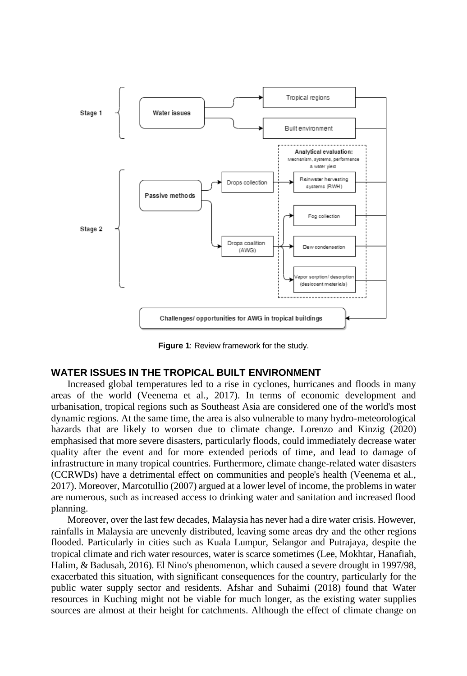

**Figure 1**: Review framework for the study.

### **WATER ISSUES IN THE TROPICAL BUILT ENVIRONMENT**

Increased global temperatures led to a rise in cyclones, hurricanes and floods in many areas of the world (Veenema et al., 2017). In terms of economic development and urbanisation, tropical regions such as Southeast Asia are considered one of the world's most dynamic regions. At the same time, the area is also vulnerable to many hydro-meteorological hazards that are likely to worsen due to climate change. Lorenzo and Kinzig (2020) emphasised that more severe disasters, particularly floods, could immediately decrease water quality after the event and for more extended periods of time, and lead to damage of infrastructure in many tropical countries. Furthermore, climate change-related water disasters (CCRWDs) have a detrimental effect on communities and people's health (Veenema et al., 2017). Moreover, Marcotullio (2007) argued at a lower level of income, the problems in water are numerous, such as increased access to drinking water and sanitation and increased flood planning.

Moreover, over the last few decades, Malaysia has never had a dire water crisis. However, rainfalls in Malaysia are unevenly distributed, leaving some areas dry and the other regions flooded. Particularly in cities such as Kuala Lumpur, Selangor and Putrajaya, despite the tropical climate and rich water resources, water is scarce sometimes (Lee, Mokhtar, Hanafiah, Halim, & Badusah, 2016). El Nino's phenomenon, which caused a severe drought in 1997/98, exacerbated this situation, with significant consequences for the country, particularly for the public water supply sector and residents. Afshar and Suhaimi (2018) found that Water resources in Kuching might not be viable for much longer, as the existing water supplies sources are almost at their height for catchments. Although the effect of climate change on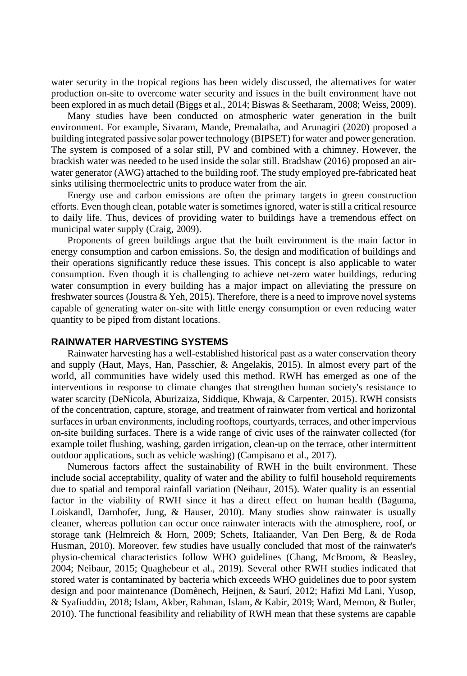water security in the tropical regions has been widely discussed, the alternatives for water production on-site to overcome water security and issues in the built environment have not been explored in as much detail (Biggs et al., 2014; Biswas & Seetharam, 2008; Weiss, 2009).

Many studies have been conducted on atmospheric water generation in the built environment. For example, Sivaram, Mande, Premalatha, and Arunagiri (2020) proposed a building integrated passive solar power technology (BIPSET) for water and power generation. The system is composed of a solar still, PV and combined with a chimney. However, the brackish water was needed to be used inside the solar still. Bradshaw (2016) proposed an airwater generator (AWG) attached to the building roof. The study employed pre-fabricated heat sinks utilising thermoelectric units to produce water from the air.

Energy use and carbon emissions are often the primary targets in green construction efforts. Even though clean, potable water is sometimes ignored, water is still a critical resource to daily life. Thus, devices of providing water to buildings have a tremendous effect on municipal water supply (Craig, 2009).

Proponents of green buildings argue that the built environment is the main factor in energy consumption and carbon emissions. So, the design and modification of buildings and their operations significantly reduce these issues. This concept is also applicable to water consumption. Even though it is challenging to achieve net-zero water buildings, reducing water consumption in every building has a major impact on alleviating the pressure on freshwater sources (Joustra & Yeh, 2015). Therefore, there is a need to improve novel systems capable of generating water on-site with little energy consumption or even reducing water quantity to be piped from distant locations.

## **RAINWATER HARVESTING SYSTEMS**

Rainwater harvesting has a well-established historical past as a water conservation theory and supply (Haut, Mays, Han, Passchier, & Angelakis, 2015). In almost every part of the world, all communities have widely used this method. RWH has emerged as one of the interventions in response to climate changes that strengthen human society's resistance to water scarcity (DeNicola, Aburizaiza, Siddique, Khwaja, & Carpenter, 2015). RWH consists of the concentration, capture, storage, and treatment of rainwater from vertical and horizontal surfaces in urban environments, including rooftops, courtyards, terraces, and other impervious on-site building surfaces. There is a wide range of civic uses of the rainwater collected (for example toilet flushing, washing, garden irrigation, clean-up on the terrace, other intermittent outdoor applications, such as vehicle washing) (Campisano et al., 2017).

Numerous factors affect the sustainability of RWH in the built environment. These include social acceptability, quality of water and the ability to fulfil household requirements due to spatial and temporal rainfall variation (Neibaur, 2015). Water quality is an essential factor in the viability of RWH since it has a direct effect on human health (Baguma, Loiskandl, Darnhofer, Jung, & Hauser, 2010). Many studies show rainwater is usually cleaner, whereas pollution can occur once rainwater interacts with the atmosphere, roof, or storage tank (Helmreich & Horn, 2009; Schets, Italiaander, Van Den Berg, & de Roda Husman, 2010). Moreover, few studies have usually concluded that most of the rainwater's physio-chemical characteristics follow WHO guidelines (Chang, McBroom, & Beasley, 2004; Neibaur, 2015; Quaghebeur et al., 2019). Several other RWH studies indicated that stored water is contaminated by bacteria which exceeds WHO guidelines due to poor system design and poor maintenance (Domènech, Heijnen, & Saurí, 2012; Hafizi Md Lani, Yusop, & Syafiuddin, 2018; Islam, Akber, Rahman, Islam, & Kabir, 2019; Ward, Memon, & Butler, 2010). The functional feasibility and reliability of RWH mean that these systems are capable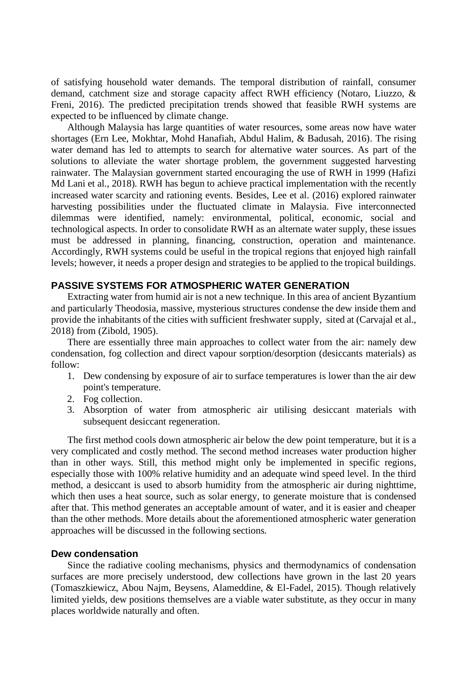of satisfying household water demands. The temporal distribution of rainfall, consumer demand, catchment size and storage capacity affect RWH efficiency (Notaro, Liuzzo, & Freni, 2016). The predicted precipitation trends showed that feasible RWH systems are expected to be influenced by climate change.

Although Malaysia has large quantities of water resources, some areas now have water shortages (Ern Lee, Mokhtar, Mohd Hanafiah, Abdul Halim, & Badusah, 2016). The rising water demand has led to attempts to search for alternative water sources. As part of the solutions to alleviate the water shortage problem, the government suggested harvesting rainwater. The Malaysian government started encouraging the use of RWH in 1999 (Hafizi Md Lani et al., 2018). RWH has begun to achieve practical implementation with the recently increased water scarcity and rationing events. Besides, Lee et al. (2016) explored rainwater harvesting possibilities under the fluctuated climate in Malaysia. Five interconnected dilemmas were identified, namely: environmental, political, economic, social and technological aspects. In order to consolidate RWH as an alternate water supply, these issues must be addressed in planning, financing, construction, operation and maintenance. Accordingly, RWH systems could be useful in the tropical regions that enjoyed high rainfall levels; however, it needs a proper design and strategies to be applied to the tropical buildings.

## **PASSIVE SYSTEMS FOR ATMOSPHERIC WATER GENERATION**

Extracting water from humid air is not a new technique. In this area of ancient Byzantium and particularly Theodosia, massive, mysterious structures condense the dew inside them and provide the inhabitants of the cities with sufficient freshwater supply, sited at (Carvajal et al., 2018) from (Zibold, 1905).

There are essentially three main approaches to collect water from the air: namely dew condensation, fog collection and direct vapour sorption/desorption (desiccants materials) as follow:

- 1. Dew condensing by exposure of air to surface temperatures is lower than the air dew point's temperature.
- 2. Fog collection.
- 3. Absorption of water from atmospheric air utilising desiccant materials with subsequent desiccant regeneration.

The first method cools down atmospheric air below the dew point temperature, but it is a very complicated and costly method. The second method increases water production higher than in other ways. Still, this method might only be implemented in specific regions, especially those with 100% relative humidity and an adequate wind speed level. In the third method, a desiccant is used to absorb humidity from the atmospheric air during nighttime, which then uses a heat source, such as solar energy, to generate moisture that is condensed after that. This method generates an acceptable amount of water, and it is easier and cheaper than the other methods. More details about the aforementioned atmospheric water generation approaches will be discussed in the following sections.

#### **Dew condensation**

Since the radiative cooling mechanisms, physics and thermodynamics of condensation surfaces are more precisely understood, dew collections have grown in the last 20 years (Tomaszkiewicz, Abou Najm, Beysens, Alameddine, & El-Fadel, 2015). Though relatively limited yields, dew positions themselves are a viable water substitute, as they occur in many places worldwide naturally and often.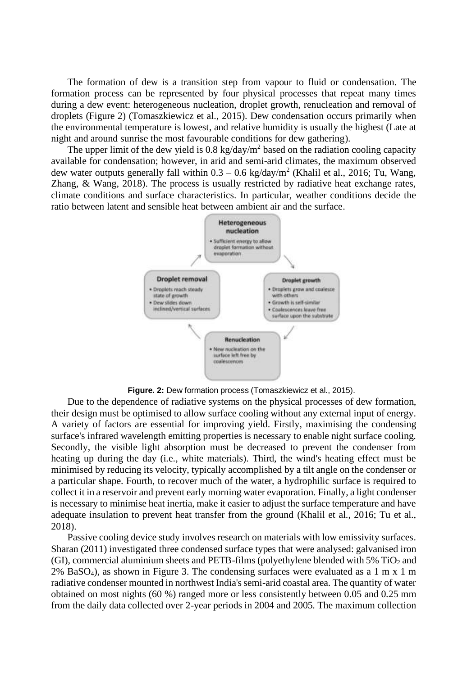The formation of dew is a transition step from vapour to fluid or condensation. The formation process can be represented by four physical processes that repeat many times during a dew event: heterogeneous nucleation, droplet growth, renucleation and removal of droplets (Figure 2) (Tomaszkiewicz et al., 2015). Dew condensation occurs primarily when the environmental temperature is lowest, and relative humidity is usually the highest (Late at night and around sunrise the most favourable conditions for dew gathering).

The upper limit of the dew yield is  $0.8 \text{ kg/day/m}^2$  based on the radiation cooling capacity available for condensation; however, in arid and semi-arid climates, the maximum observed dew water outputs generally fall within  $0.3 - 0.6$  kg/day/m<sup>2</sup> (Khalil et al., 2016; Tu, Wang, Zhang, & Wang, 2018). The process is usually restricted by radiative heat exchange rates, climate conditions and surface characteristics. In particular, weather conditions decide the ratio between latent and sensible heat between ambient air and the surface.



**Figure. 2:** Dew formation process (Tomaszkiewicz et al., 2015).

Due to the dependence of radiative systems on the physical processes of dew formation, their design must be optimised to allow surface cooling without any external input of energy. A variety of factors are essential for improving yield. Firstly, maximising the condensing surface's infrared wavelength emitting properties is necessary to enable night surface cooling. Secondly, the visible light absorption must be decreased to prevent the condenser from heating up during the day (i.e., white materials). Third, the wind's heating effect must be minimised by reducing its velocity, typically accomplished by a tilt angle on the condenser or a particular shape. Fourth, to recover much of the water, a hydrophilic surface is required to collect it in a reservoir and prevent early morning water evaporation. Finally, a light condenser is necessary to minimise heat inertia, make it easier to adjust the surface temperature and have adequate insulation to prevent heat transfer from the ground (Khalil et al., 2016; Tu et al., 2018).

Passive cooling device study involves research on materials with low emissivity surfaces. Sharan (2011) investigated three condensed surface types that were analysed: galvanised iron  $(GI)$ , commercial aluminium sheets and PETB-films (polyethylene blended with 5% TiO<sub>2</sub> and  $2\%$  BaSO<sub>4</sub>), as shown in Figure 3. The condensing surfaces were evaluated as a 1 m x 1 m radiative condenser mounted in northwest India's semi-arid coastal area. The quantity of water obtained on most nights (60 %) ranged more or less consistently between 0.05 and 0.25 mm from the daily data collected over 2-year periods in 2004 and 2005. The maximum collection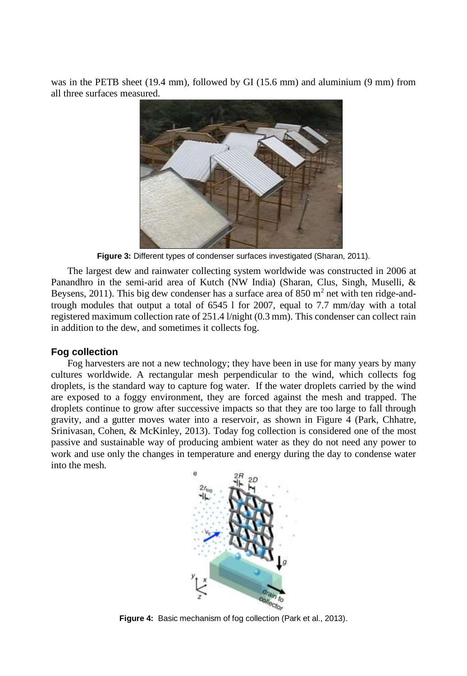was in the PETB sheet (19.4 mm), followed by GI (15.6 mm) and aluminium (9 mm) from all three surfaces measured.



**Figure 3:** Different types of condenser surfaces investigated (Sharan, 2011).

The largest dew and rainwater collecting system worldwide was constructed in 2006 at Panandhro in the semi-arid area of Kutch (NW India) (Sharan, Clus, Singh, Muselli, & Beysens, 2011). This big dew condenser has a surface area of  $850 \text{ m}^2$  net with ten ridge-andtrough modules that output a total of 6545 l for 2007, equal to 7.7 mm/day with a total registered maximum collection rate of 251.4 l/night (0.3 mm). This condenser can collect rain in addition to the dew, and sometimes it collects fog.

#### **Fog collection**

Fog harvesters are not a new technology; they have been in use for many years by many cultures worldwide. A rectangular mesh perpendicular to the wind, which collects fog droplets, is the standard way to capture fog water. If the water droplets carried by the wind are exposed to a foggy environment, they are forced against the mesh and trapped. The droplets continue to grow after successive impacts so that they are too large to fall through gravity, and a gutter moves water into a reservoir, as shown in Figure 4 (Park, Chhatre, Srinivasan, Cohen, & McKinley, 2013). Today fog collection is considered one of the most passive and sustainable way of producing ambient water as they do not need any power to work and use only the changes in temperature and energy during the day to condense water into the mesh.



**Figure 4:** Basic mechanism of fog collection (Park et al., 2013).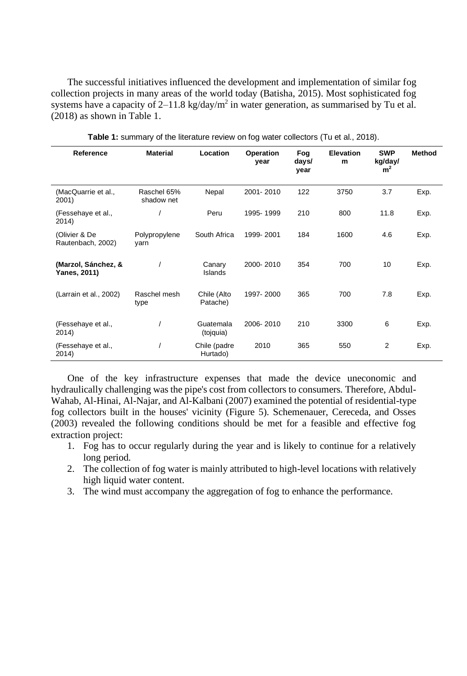The successful initiatives influenced the development and implementation of similar fog collection projects in many areas of the world today (Batisha, 2015). Most sophisticated fog systems have a capacity of 2–11.8 kg/day/ $m^2$  in water generation, as summarised by Tu et al. (2018) as shown in Table 1.

| Reference                           | <b>Material</b>           | Location                 | Operation<br>year | Fog<br>days/<br>year | <b>Elevation</b><br>m | <b>SWP</b><br>kg/day/<br>m <sup>2</sup> | Method |
|-------------------------------------|---------------------------|--------------------------|-------------------|----------------------|-----------------------|-----------------------------------------|--------|
| (MacQuarrie et al.,<br>2001)        | Raschel 65%<br>shadow net | Nepal                    | 2001-2010         | 122                  | 3750                  | 3.7                                     | Exp.   |
| (Fessehaye et al.,<br>2014)         |                           | Peru                     | 1995-1999         | 210                  | 800                   | 11.8                                    | Exp.   |
| (Olivier & De<br>Rautenbach, 2002)  | Polypropylene<br>varn     | South Africa             | 1999-2001         | 184                  | 1600                  | 4.6                                     | Exp.   |
| (Marzol, Sánchez, &<br>Yanes, 2011) |                           | Canary<br>Islands        | 2000-2010         | 354                  | 700                   | 10                                      | Exp.   |
| (Larrain et al., 2002)              | Raschel mesh<br>type      | Chile (Alto<br>Patache)  | 1997-2000         | 365                  | 700                   | 7.8                                     | Exp.   |
| (Fessehaye et al.,<br>2014)         |                           | Guatemala<br>(tojquia)   | 2006-2010         | 210                  | 3300                  | 6                                       | Exp.   |
| (Fessehaye et al.,<br>2014)         |                           | Chile (padre<br>Hurtado) | 2010              | 365                  | 550                   | 2                                       | Exp.   |

**Table 1:** summary of the literature review on fog water collectors (Tu et al., 2018).

One of the key infrastructure expenses that made the device uneconomic and hydraulically challenging was the pipe's cost from collectors to consumers. Therefore, Abdul-Wahab, Al-Hinai, Al-Najar, and Al-Kalbani (2007) examined the potential of residential-type fog collectors built in the houses' vicinity (Figure 5). Schemenauer, Cereceda, and Osses (2003) revealed the following conditions should be met for a feasible and effective fog extraction project:

- 1. Fog has to occur regularly during the year and is likely to continue for a relatively long period.
- 2. The collection of fog water is mainly attributed to high-level locations with relatively high liquid water content.
- 3. The wind must accompany the aggregation of fog to enhance the performance.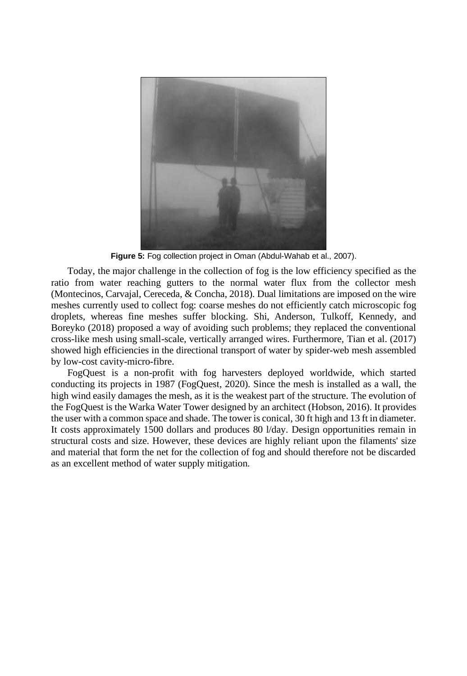

**Figure 5:** Fog collection project in Oman (Abdul-Wahab et al., 2007).

Today, the major challenge in the collection of fog is the low efficiency specified as the ratio from water reaching gutters to the normal water flux from the collector mesh (Montecinos, Carvajal, Cereceda, & Concha, 2018). Dual limitations are imposed on the wire meshes currently used to collect fog: coarse meshes do not efficiently catch microscopic fog droplets, whereas fine meshes suffer blocking. Shi, Anderson, Tulkoff, Kennedy, and Boreyko (2018) proposed a way of avoiding such problems; they replaced the conventional cross-like mesh using small-scale, vertically arranged wires. Furthermore, Tian et al. (2017) showed high efficiencies in the directional transport of water by spider-web mesh assembled by low-cost cavity-micro-fibre.

FogQuest is a non-profit with fog harvesters deployed worldwide, which started conducting its projects in 1987 (FogQuest, 2020). Since the mesh is installed as a wall, the high wind easily damages the mesh, as it is the weakest part of the structure. The evolution of the FogQuest is the Warka Water Tower designed by an architect (Hobson, 2016). It provides the user with a common space and shade. The tower is conical, 30 ft high and 13 ft in diameter. It costs approximately 1500 dollars and produces 80 l/day. Design opportunities remain in structural costs and size. However, these devices are highly reliant upon the filaments' size and material that form the net for the collection of fog and should therefore not be discarded as an excellent method of water supply mitigation.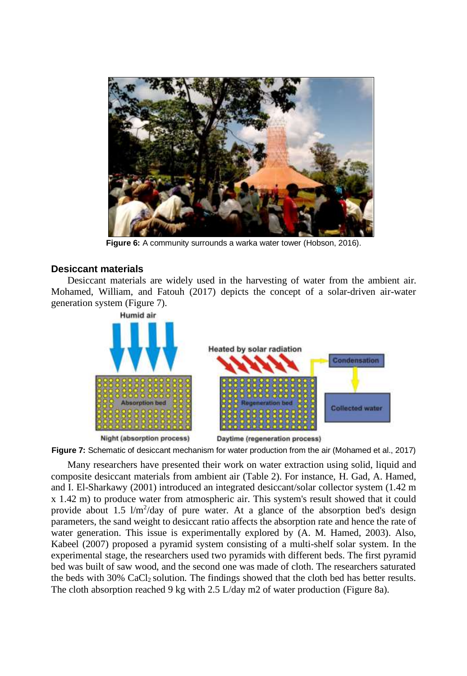

**Figure 6:** A community surrounds a warka water tower (Hobson, 2016).

## **Desiccant materials**

Desiccant materials are widely used in the harvesting of water from the ambient air. Mohamed, William, and Fatouh (2017) depicts the concept of a solar-driven air-water generation system (Figure 7).



**Night (absorption process)** Daytime (regeneration process)

**Figure 7:** Schematic of desiccant mechanism for water production from the air (Mohamed et al., 2017)

Many researchers have presented their work on water extraction using solid, liquid and composite desiccant materials from ambient air (Table 2). For instance, H. Gad, A. Hamed, and I. El-Sharkawy (2001) introduced an integrated desiccant/solar collector system (1.42 m x 1.42 m) to produce water from atmospheric air. This system's result showed that it could provide about 1.5  $1/m^2$ /day of pure water. At a glance of the absorption bed's design parameters, the sand weight to desiccant ratio affects the absorption rate and hence the rate of water generation. This issue is experimentally explored by (A. M. Hamed, 2003). Also, Kabeel (2007) proposed a pyramid system consisting of a multi-shelf solar system. In the experimental stage, the researchers used two pyramids with different beds. The first pyramid bed was built of saw wood, and the second one was made of cloth. The researchers saturated the beds with 30% CaCl2 solution. The findings showed that the cloth bed has better results. The cloth absorption reached 9 kg with 2.5 L/day m2 of water production (Figure 8a).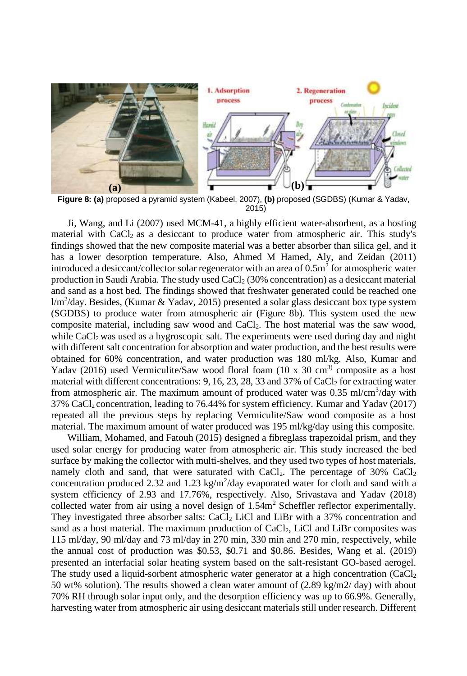

**Figure 8: (a)** proposed a pyramid system (Kabeel, 2007), **(b)** proposed (SGDBS) (Kumar & Yadav, 2015)

Ji, Wang, and Li (2007) used MCM-41, a highly efficient water-absorbent, as a hosting material with CaCl<sub>2</sub> as a desiccant to produce water from atmospheric air. This study's findings showed that the new composite material was a better absorber than silica gel, and it has a lower desorption temperature. Also, Ahmed M Hamed, Aly, and Zeidan (2011) introduced a desiccant/collector solar regenerator with an area of  $0.5m<sup>2</sup>$  for atmospheric water production in Saudi Arabia. The study used CaCl<sup>2</sup> (30% concentration) as a desiccant material and sand as a host bed. The findings showed that freshwater generated could be reached one  $1/m^2$ /day. Besides, (Kumar & Yadav, 2015) presented a solar glass desiccant box type system (SGDBS) to produce water from atmospheric air (Figure 8b). This system used the new composite material, including saw wood and CaCl2. The host material was the saw wood, while  $CaCl<sub>2</sub>$  was used as a hygroscopic salt. The experiments were used during day and night with different salt concentration for absorption and water production, and the best results were obtained for 60% concentration, and water production was 180 ml/kg. Also, Kumar and Yadav (2016) used Vermiculite/Saw wood floral foam (10 x 30 cm<sup>3)</sup> composite as a host material with different concentrations:  $9, 16, 23, 28, 33$  and  $37\%$  of CaCl<sub>2</sub> for extracting water from atmospheric air. The maximum amount of produced water was  $0.35 \text{ ml/cm}^3/\text{day}$  with 37% CaCl2 concentration, leading to 76.44% for system efficiency. Kumar and Yadav (2017) repeated all the previous steps by replacing Vermiculite/Saw wood composite as a host material. The maximum amount of water produced was 195 ml/kg/day using this composite.

William, Mohamed, and Fatouh (2015) designed a fibreglass trapezoidal prism, and they used solar energy for producing water from atmospheric air. This study increased the bed surface by making the collector with multi-shelves, and they used two types of host materials, namely cloth and sand, that were saturated with CaCl<sub>2</sub>. The percentage of  $30\%$  CaCl<sub>2</sub> concentration produced 2.32 and 1.23 kg/m<sup>2</sup>/day evaporated water for cloth and sand with a system efficiency of 2.93 and 17.76%, respectively. Also, Srivastava and Yadav (2018) collected water from air using a novel design of  $1.54m<sup>2</sup>$  Scheffler reflector experimentally. They investigated three absorber salts: CaCl<sub>2</sub> LiCl and LiBr with a 37% concentration and sand as a host material. The maximum production of  $CaCl<sub>2</sub>$ , LiCl and LiBr composites was 115 ml/day, 90 ml/day and 73 ml/day in 270 min, 330 min and 270 min, respectively, while the annual cost of production was \$0.53, \$0.71 and \$0.86. Besides, Wang et al. (2019) presented an interfacial solar heating system based on the salt-resistant GO-based aerogel. The study used a liquid-sorbent atmospheric water generator at a high concentration (CaCl<sub>2</sub>) 50 wt% solution). The results showed a clean water amount of  $(2.89 \text{ kg/m2/day})$  with about 70% RH through solar input only, and the desorption efficiency was up to 66.9%. Generally, harvesting water from atmospheric air using desiccant materials still under research. Different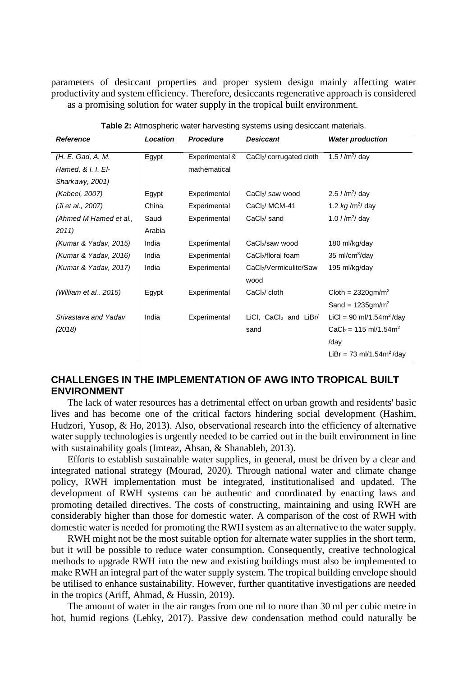parameters of desiccant properties and proper system design mainly affecting water productivity and system efficiency. Therefore, desiccants regenerative approach is considered as a promising solution for water supply in the tropical built environment.

| Reference              | <b>Location</b> | Procedure      | <b>Desiccant</b>                  | <b>Water production</b>              |
|------------------------|-----------------|----------------|-----------------------------------|--------------------------------------|
| (H. E. Gad, A. M.      | Egypt           | Experimental & | CaCl2/ corrugated cloth           | 1.5 $I/m^2/day$                      |
| Hamed, & I. I. El-     |                 | mathematical   |                                   |                                      |
| Sharkawy, 2001)        |                 |                |                                   |                                      |
| (Kabeel, 2007)         | Egypt           | Experimental   | CaCl <sub>2</sub> / saw wood      | 2.5 $1/m^2$ day                      |
| (Ji et al., 2007)      | China           | Experimental   | CaCl <sub>2</sub> /MCM-41         | 1.2 $kg/m^2$ day                     |
| (Ahmed M Hamed et al., | Saudi           | Experimental   | $CaCl2/$ sand                     | 1.0 $1/m^2$ day                      |
| 2011)                  | Arabia          |                |                                   |                                      |
| (Kumar & Yadav, 2015)  | India           | Experimental   | CaCl <sub>2</sub> /saw wood       | 180 ml/kg/day                        |
| (Kumar & Yadav, 2016)  | India           | Experimental   | CaCl <sub>2</sub> /floral foam    | 35 ml/cm $3/$ day                    |
| (Kumar & Yadav, 2017)  | India           | Experimental   | CaCl2/Vermiculite/Saw             | 195 ml/kg/day                        |
|                        |                 |                | wood                              |                                      |
| (William et al., 2015) | Egypt           | Experimental   | CaCl <sub>2</sub> /cloth          | Cloth = $2320$ gm/m <sup>2</sup>     |
|                        |                 |                |                                   | Sand = $1235gm/m2$                   |
| Srivastava and Yadav   | India           | Experimental   | LiCl, CaCl <sub>2</sub> and LiBr/ | LiCl = 90 ml/1.54m <sup>2</sup> /day |
| (2018)                 |                 |                | sand                              | $CaCl2 = 115$ ml/1.54m <sup>2</sup>  |
|                        |                 |                |                                   | /day                                 |
|                        |                 |                |                                   | LiBr = 73 ml/1.54m <sup>2</sup> /day |

**Table 2:** Atmospheric water harvesting systems using desiccant materials.

## **CHALLENGES IN THE IMPLEMENTATION OF AWG INTO TROPICAL BUILT ENVIRONMENT**

The lack of water resources has a detrimental effect on urban growth and residents' basic lives and has become one of the critical factors hindering social development (Hashim, Hudzori, Yusop, & Ho, 2013). Also, observational research into the efficiency of alternative water supply technologies is urgently needed to be carried out in the built environment in line with sustainability goals (Imteaz, Ahsan, & Shanableh, 2013).

Efforts to establish sustainable water supplies, in general, must be driven by a clear and integrated national strategy (Mourad, 2020). Through national water and climate change policy, RWH implementation must be integrated, institutionalised and updated. The development of RWH systems can be authentic and coordinated by enacting laws and promoting detailed directives. The costs of constructing, maintaining and using RWH are considerably higher than those for domestic water. A comparison of the cost of RWH with domestic water is needed for promoting the RWH system as an alternative to the water supply.

RWH might not be the most suitable option for alternate water supplies in the short term, but it will be possible to reduce water consumption. Consequently, creative technological methods to upgrade RWH into the new and existing buildings must also be implemented to make RWH an integral part of the water supply system. The tropical building envelope should be utilised to enhance sustainability. However, further quantitative investigations are needed in the tropics (Ariff, Ahmad, & Hussin, 2019).

The amount of water in the air ranges from one ml to more than 30 ml per cubic metre in hot, humid regions (Lehky, 2017). Passive dew condensation method could naturally be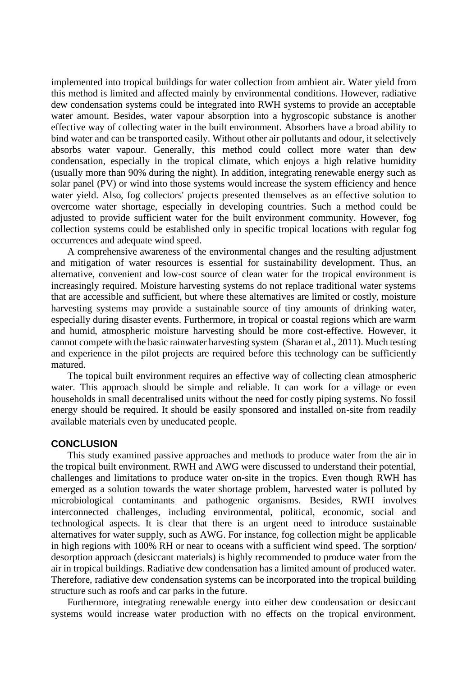implemented into tropical buildings for water collection from ambient air. Water yield from this method is limited and affected mainly by environmental conditions. However, radiative dew condensation systems could be integrated into RWH systems to provide an acceptable water amount. Besides, water vapour absorption into a hygroscopic substance is another effective way of collecting water in the built environment. Absorbers have a broad ability to bind water and can be transported easily. Without other air pollutants and odour, it selectively absorbs water vapour. Generally, this method could collect more water than dew condensation, especially in the tropical climate, which enjoys a high relative humidity (usually more than 90% during the night). In addition, integrating renewable energy such as solar panel (PV) or wind into those systems would increase the system efficiency and hence water yield. Also, fog collectors' projects presented themselves as an effective solution to overcome water shortage, especially in developing countries. Such a method could be adjusted to provide sufficient water for the built environment community. However, fog collection systems could be established only in specific tropical locations with regular fog occurrences and adequate wind speed.

A comprehensive awareness of the environmental changes and the resulting adjustment and mitigation of water resources is essential for sustainability development. Thus, an alternative, convenient and low-cost source of clean water for the tropical environment is increasingly required. Moisture harvesting systems do not replace traditional water systems that are accessible and sufficient, but where these alternatives are limited or costly, moisture harvesting systems may provide a sustainable source of tiny amounts of drinking water, especially during disaster events. Furthermore, in tropical or coastal regions which are warm and humid, atmospheric moisture harvesting should be more cost-effective. However, it cannot compete with the basic rainwater harvesting system (Sharan et al., 2011). Much testing and experience in the pilot projects are required before this technology can be sufficiently matured.

The topical built environment requires an effective way of collecting clean atmospheric water. This approach should be simple and reliable. It can work for a village or even households in small decentralised units without the need for costly piping systems. No fossil energy should be required. It should be easily sponsored and installed on-site from readily available materials even by uneducated people.

#### **CONCLUSION**

This study examined passive approaches and methods to produce water from the air in the tropical built environment. RWH and AWG were discussed to understand their potential, challenges and limitations to produce water on-site in the tropics. Even though RWH has emerged as a solution towards the water shortage problem, harvested water is polluted by microbiological contaminants and pathogenic organisms. Besides, RWH involves interconnected challenges, including environmental, political, economic, social and technological aspects. It is clear that there is an urgent need to introduce sustainable alternatives for water supply, such as AWG. For instance, fog collection might be applicable in high regions with 100% RH or near to oceans with a sufficient wind speed. The sorption/ desorption approach (desiccant materials) is highly recommended to produce water from the air in tropical buildings. Radiative dew condensation has a limited amount of produced water. Therefore, radiative dew condensation systems can be incorporated into the tropical building structure such as roofs and car parks in the future.

Furthermore, integrating renewable energy into either dew condensation or desiccant systems would increase water production with no effects on the tropical environment.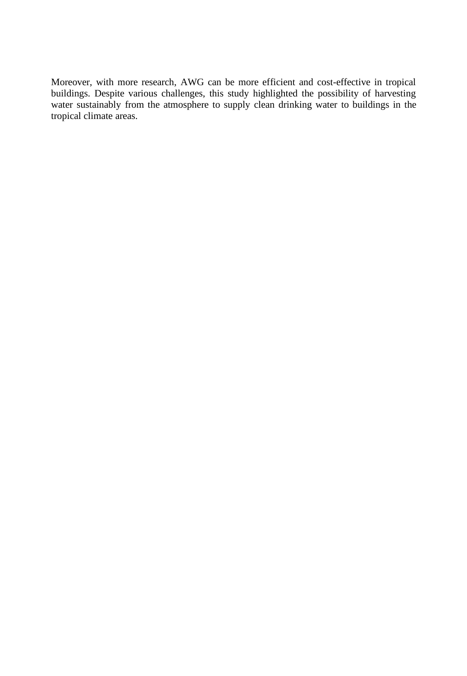Moreover, with more research, AWG can be more efficient and cost-effective in tropical buildings. Despite various challenges, this study highlighted the possibility of harvesting water sustainably from the atmosphere to supply clean drinking water to buildings in the tropical climate areas.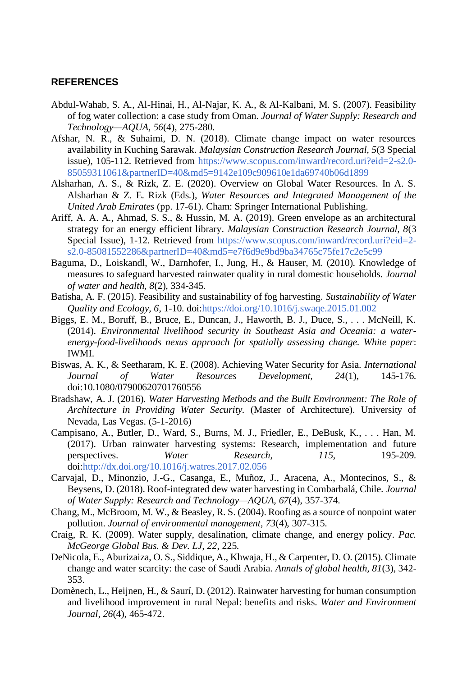## **REFERENCES**

- Abdul-Wahab, S. A., Al-Hinai, H., Al-Najar, K. A., & Al-Kalbani, M. S. (2007). Feasibility of fog water collection: a case study from Oman. *Journal of Water Supply: Research and Technology—AQUA, 56*(4), 275-280.
- Afshar, N. R., & Suhaimi, D. N. (2018). Climate change impact on water resources availability in Kuching Sarawak. *Malaysian Construction Research Journal, 5*(3 Special issue), 105-112. Retrieved from [https://www.scopus.com/inward/record.uri?eid=2-s2.0-](https://www.scopus.com/inward/record.uri?eid=2-s2.0-85059311061&partnerID=40&md5=9142e109c909610e1da69740b06d1899) [85059311061&partnerID=40&md5=9142e109c909610e1da69740b06d1899](https://www.scopus.com/inward/record.uri?eid=2-s2.0-85059311061&partnerID=40&md5=9142e109c909610e1da69740b06d1899)
- Alsharhan, A. S., & Rizk, Z. E. (2020). Overview on Global Water Resources. In A. S. Alsharhan & Z. E. Rizk (Eds.), *Water Resources and Integrated Management of the United Arab Emirates* (pp. 17-61). Cham: Springer International Publishing.
- Ariff, A. A. A., Ahmad, S. S., & Hussin, M. A. (2019). Green envelope as an architectural strategy for an energy efficient library. *Malaysian Construction Research Journal, 8*(3 Special Issue), 1-12. Retrieved from [https://www.scopus.com/inward/record.uri?eid=2](https://www.scopus.com/inward/record.uri?eid=2-s2.0-85081552286&partnerID=40&md5=e7f6d9e9bd9ba34765c75fe17c2e5c99) [s2.0-85081552286&partnerID=40&md5=e7f6d9e9bd9ba34765c75fe17c2e5c99](https://www.scopus.com/inward/record.uri?eid=2-s2.0-85081552286&partnerID=40&md5=e7f6d9e9bd9ba34765c75fe17c2e5c99)
- Baguma, D., Loiskandl, W., Darnhofer, I., Jung, H., & Hauser, M. (2010). Knowledge of measures to safeguard harvested rainwater quality in rural domestic households. *Journal of water and health, 8*(2), 334-345.
- Batisha, A. F. (2015). Feasibility and sustainability of fog harvesting. *Sustainability of Water Quality and Ecology, 6*, 1-10. doi[:https://doi.org/10.1016/j.swaqe.2015.01.002](https://doi.org/10.1016/j.swaqe.2015.01.002)
- Biggs, E. M., Boruff, B., Bruce, E., Duncan, J., Haworth, B. J., Duce, S., . . . McNeill, K. (2014). *Environmental livelihood security in Southeast Asia and Oceania: a waterenergy-food-livelihoods nexus approach for spatially assessing change. White paper*: IWMI.
- Biswas, A. K., & Seetharam, K. E. (2008). Achieving Water Security for Asia. *International Journal of Water Resources Development, 24*(1), 145-176. doi:10.1080/07900620701760556
- Bradshaw, A. J. (2016). *Water Harvesting Methods and the Built Environment: The Role of Architecture in Providing Water Security.* (Master of Architecture). University of Nevada, Las Vegas. (5-1-2016)
- Campisano, A., Butler, D., Ward, S., Burns, M. J., Friedler, E., DeBusk, K., . . . Han, M. (2017). Urban rainwater harvesting systems: Research, implementation and future perspectives. *Water Research, 115*, 195-209. doi[:http://dx.doi.org/10.1016/j.watres.2017.02.056](http://dx.doi.org/10.1016/j.watres.2017.02.056)
- Carvajal, D., Minonzio, J.-G., Casanga, E., Muñoz, J., Aracena, A., Montecinos, S., & Beysens, D. (2018). Roof-integrated dew water harvesting in Combarbalá, Chile. *Journal of Water Supply: Research and Technology—AQUA, 67*(4), 357-374.
- Chang, M., McBroom, M. W., & Beasley, R. S. (2004). Roofing as a source of nonpoint water pollution. *Journal of environmental management, 73*(4), 307-315.
- Craig, R. K. (2009). Water supply, desalination, climate change, and energy policy. *Pac. McGeorge Global Bus. & Dev. LJ, 22*, 225.
- DeNicola, E., Aburizaiza, O. S., Siddique, A., Khwaja, H., & Carpenter, D. O. (2015). Climate change and water scarcity: the case of Saudi Arabia. *Annals of global health, 81*(3), 342- 353.
- Domènech, L., Heijnen, H., & Saurí, D. (2012). Rainwater harvesting for human consumption and livelihood improvement in rural Nepal: benefits and risks. *Water and Environment Journal, 26*(4), 465-472.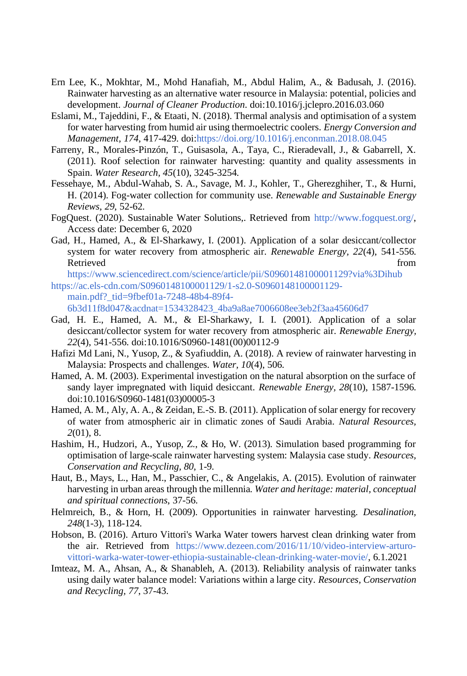- Ern Lee, K., Mokhtar, M., Mohd Hanafiah, M., Abdul Halim, A., & Badusah, J. (2016). Rainwater harvesting as an alternative water resource in Malaysia: potential, policies and development. *Journal of Cleaner Production*. doi:10.1016/j.jclepro.2016.03.060
- Eslami, M., Tajeddini, F., & Etaati, N. (2018). Thermal analysis and optimisation of a system for water harvesting from humid air using thermoelectric coolers. *Energy Conversion and Management, 174*, 417-429. doi[:https://doi.org/10.1016/j.enconman.2018.08.045](https://doi.org/10.1016/j.enconman.2018.08.045)
- Farreny, R., Morales-Pinzón, T., Guisasola, A., Taya, C., Rieradevall, J., & Gabarrell, X. (2011). Roof selection for rainwater harvesting: quantity and quality assessments in Spain. *Water Research, 45*(10), 3245-3254.
- Fessehaye, M., Abdul-Wahab, S. A., Savage, M. J., Kohler, T., Gherezghiher, T., & Hurni, H. (2014). Fog-water collection for community use. *Renewable and Sustainable Energy Reviews, 29*, 52-62.
- FogQuest. (2020). Sustainable Water Solutions,. Retrieved from [http://www.fogquest.org/,](http://www.fogquest.org/) Access date: December 6, 2020
- Gad, H., Hamed, A., & El-Sharkawy, I. (2001). Application of a solar desiccant/collector system for water recovery from atmospheric air. *Renewable Energy, 22*(4), 541-556. Retrieved from the state of the state of the state of the state of the state of the state of the state of the state of the state of the state of the state of the state of the state of the state of the state of the state of

<https://www.sciencedirect.com/science/article/pii/S0960148100001129?via%3Dihub> [https://ac.els-cdn.com/S0960148100001129/1-s2.0-S0960148100001129-](https://ac.els-cdn.com/S0960148100001129/1-s2.0-S0960148100001129-main.pdf?_tid=9fbef01a-7248-48b4-89f4-6b3d11f8d047&acdnat=1534328423_4ba9a8ae7006608ee3eb2f3aa45606d7)

[main.pdf?\\_tid=9fbef01a-7248-48b4-89f4-](https://ac.els-cdn.com/S0960148100001129/1-s2.0-S0960148100001129-main.pdf?_tid=9fbef01a-7248-48b4-89f4-6b3d11f8d047&acdnat=1534328423_4ba9a8ae7006608ee3eb2f3aa45606d7)

[6b3d11f8d047&acdnat=1534328423\\_4ba9a8ae7006608ee3eb2f3aa45606d7](https://ac.els-cdn.com/S0960148100001129/1-s2.0-S0960148100001129-main.pdf?_tid=9fbef01a-7248-48b4-89f4-6b3d11f8d047&acdnat=1534328423_4ba9a8ae7006608ee3eb2f3aa45606d7)

- Gad, H. E., Hamed, A. M., & El-Sharkawy, I. I. (2001). Application of a solar desiccant/collector system for water recovery from atmospheric air. *Renewable Energy, 22*(4), 541-556. doi:10.1016/S0960-1481(00)00112-9
- Hafizi Md Lani, N., Yusop, Z., & Syafiuddin, A. (2018). A review of rainwater harvesting in Malaysia: Prospects and challenges. *Water, 10*(4), 506.
- Hamed, A. M. (2003). Experimental investigation on the natural absorption on the surface of sandy layer impregnated with liquid desiccant. *Renewable Energy, 28*(10), 1587-1596. doi:10.1016/S0960-1481(03)00005-3
- Hamed, A. M., Aly, A. A., & Zeidan, E.-S. B. (2011). Application of solar energy for recovery of water from atmospheric air in climatic zones of Saudi Arabia. *Natural Resources, 2*(01), 8.
- Hashim, H., Hudzori, A., Yusop, Z., & Ho, W. (2013). Simulation based programming for optimisation of large-scale rainwater harvesting system: Malaysia case study. *Resources, Conservation and Recycling, 80*, 1-9.
- Haut, B., Mays, L., Han, M., Passchier, C., & Angelakis, A. (2015). Evolution of rainwater harvesting in urban areas through the millennia. *Water and heritage: material, conceptual and spiritual connections*, 37-56.
- Helmreich, B., & Horn, H. (2009). Opportunities in rainwater harvesting. *Desalination, 248*(1-3), 118-124.
- Hobson, B. (2016). Arturo Vittori's Warka Water towers harvest clean drinking water from the air. Retrieved from [https://www.dezeen.com/2016/11/10/video-interview-arturo](https://www.dezeen.com/2016/11/10/video-interview-arturo-vittori-warka-water-tower-ethiopia-sustainable-clean-drinking-water-movie/)[vittori-warka-water-tower-ethiopia-sustainable-clean-drinking-water-movie/,](https://www.dezeen.com/2016/11/10/video-interview-arturo-vittori-warka-water-tower-ethiopia-sustainable-clean-drinking-water-movie/) 6.1.2021
- Imteaz, M. A., Ahsan, A., & Shanableh, A. (2013). Reliability analysis of rainwater tanks using daily water balance model: Variations within a large city. *Resources, Conservation and Recycling, 77*, 37-43.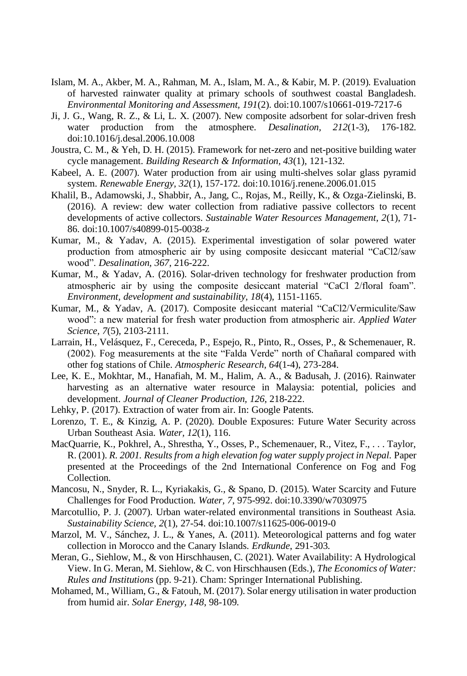- Islam, M. A., Akber, M. A., Rahman, M. A., Islam, M. A., & Kabir, M. P. (2019). Evaluation of harvested rainwater quality at primary schools of southwest coastal Bangladesh. *Environmental Monitoring and Assessment, 191*(2). doi:10.1007/s10661-019-7217-6
- Ji, J. G., Wang, R. Z., & Li, L. X. (2007). New composite adsorbent for solar-driven fresh water production from the atmosphere. *Desalination, 212*(1-3), 176-182. doi:10.1016/j.desal.2006.10.008
- Joustra, C. M., & Yeh, D. H. (2015). Framework for net-zero and net-positive building water cycle management. *Building Research & Information, 43*(1), 121-132.
- Kabeel, A. E. (2007). Water production from air using multi-shelves solar glass pyramid system. *Renewable Energy, 32*(1), 157-172. doi:10.1016/j.renene.2006.01.015
- Khalil, B., Adamowski, J., Shabbir, A., Jang, C., Rojas, M., Reilly, K., & Ozga-Zielinski, B. (2016). A review: dew water collection from radiative passive collectors to recent developments of active collectors. *Sustainable Water Resources Management, 2*(1), 71- 86. doi:10.1007/s40899-015-0038-z
- Kumar, M., & Yadav, A. (2015). Experimental investigation of solar powered water production from atmospheric air by using composite desiccant material "CaCl2/saw wood". *Desalination, 367*, 216-222.
- Kumar, M., & Yadav, A. (2016). Solar-driven technology for freshwater production from atmospheric air by using the composite desiccant material "CaCl 2/floral foam". *Environment, development and sustainability, 18*(4), 1151-1165.
- Kumar, M., & Yadav, A. (2017). Composite desiccant material "CaCl2/Vermiculite/Saw wood": a new material for fresh water production from atmospheric air. *Applied Water Science, 7*(5), 2103-2111.
- Larrain, H., Velásquez, F., Cereceda, P., Espejo, R., Pinto, R., Osses, P., & Schemenauer, R. (2002). Fog measurements at the site "Falda Verde" north of Chañaral compared with other fog stations of Chile. *Atmospheric Research, 64*(1-4), 273-284.
- Lee, K. E., Mokhtar, M., Hanafiah, M. M., Halim, A. A., & Badusah, J. (2016). Rainwater harvesting as an alternative water resource in Malaysia: potential, policies and development. *Journal of Cleaner Production, 126*, 218-222.
- Lehky, P. (2017). Extraction of water from air. In: Google Patents.
- Lorenzo, T. E., & Kinzig, A. P. (2020). Double Exposures: Future Water Security across Urban Southeast Asia. *Water, 12*(1), 116.
- MacQuarrie, K., Pokhrel, A., Shrestha, Y., Osses, P., Schemenauer, R., Vitez, F., . . . Taylor, R. (2001). *R. 2001. Results from a high elevation fog water supply project in Nepal.* Paper presented at the Proceedings of the 2nd International Conference on Fog and Fog Collection.
- Mancosu, N., Snyder, R. L., Kyriakakis, G., & Spano, D. (2015). Water Scarcity and Future Challenges for Food Production. *Water, 7*, 975-992. doi:10.3390/w7030975
- Marcotullio, P. J. (2007). Urban water-related environmental transitions in Southeast Asia. *Sustainability Science, 2*(1), 27-54. doi:10.1007/s11625-006-0019-0
- Marzol, M. V., Sánchez, J. L., & Yanes, A. (2011). Meteorological patterns and fog water collection in Morocco and the Canary Islands. *Erdkunde*, 291-303.
- Meran, G., Siehlow, M., & von Hirschhausen, C. (2021). Water Availability: A Hydrological View. In G. Meran, M. Siehlow, & C. von Hirschhausen (Eds.), *The Economics of Water: Rules and Institutions* (pp. 9-21). Cham: Springer International Publishing.
- Mohamed, M., William, G., & Fatouh, M. (2017). Solar energy utilisation in water production from humid air. *Solar Energy, 148*, 98-109.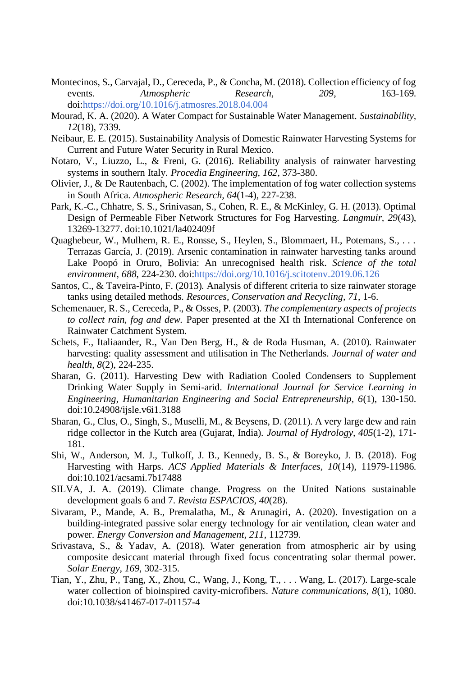- Montecinos, S., Carvajal, D., Cereceda, P., & Concha, M. (2018). Collection efficiency of fog events. *Atmospheric Research, 209*, 163-169. doi[:https://doi.org/10.1016/j.atmosres.2018.04.004](https://doi.org/10.1016/j.atmosres.2018.04.004)
- Mourad, K. A. (2020). A Water Compact for Sustainable Water Management. *Sustainability, 12*(18), 7339.
- Neibaur, E. E. (2015). Sustainability Analysis of Domestic Rainwater Harvesting Systems for Current and Future Water Security in Rural Mexico.
- Notaro, V., Liuzzo, L., & Freni, G. (2016). Reliability analysis of rainwater harvesting systems in southern Italy. *Procedia Engineering, 162*, 373-380.
- Olivier, J., & De Rautenbach, C. (2002). The implementation of fog water collection systems in South Africa. *Atmospheric Research, 64*(1-4), 227-238.
- Park, K.-C., Chhatre, S. S., Srinivasan, S., Cohen, R. E., & McKinley, G. H. (2013). Optimal Design of Permeable Fiber Network Structures for Fog Harvesting. *Langmuir, 29*(43), 13269-13277. doi:10.1021/la402409f
- Quaghebeur, W., Mulhern, R. E., Ronsse, S., Heylen, S., Blommaert, H., Potemans, S., . . . Terrazas García, J. (2019). Arsenic contamination in rainwater harvesting tanks around Lake Poopó in Oruro, Bolivia: An unrecognised health risk. *Science of the total environment, 688*, 224-230. doi[:https://doi.org/10.1016/j.scitotenv.2019.06.126](https://doi.org/10.1016/j.scitotenv.2019.06.126)
- Santos, C., & Taveira-Pinto, F. (2013). Analysis of different criteria to size rainwater storage tanks using detailed methods. *Resources, Conservation and Recycling, 71*, 1-6.
- Schemenauer, R. S., Cereceda, P., & Osses, P. (2003). *The complementary aspects of projects to collect rain, fog and dew.* Paper presented at the XI th International Conference on Rainwater Catchment System.
- Schets, F., Italiaander, R., Van Den Berg, H., & de Roda Husman, A. (2010). Rainwater harvesting: quality assessment and utilisation in The Netherlands. *Journal of water and health, 8*(2), 224-235.
- Sharan, G. (2011). Harvesting Dew with Radiation Cooled Condensers to Supplement Drinking Water Supply in Semi-arid. *International Journal for Service Learning in Engineering, Humanitarian Engineering and Social Entrepreneurship, 6*(1), 130-150. doi:10.24908/ijsle.v6i1.3188
- Sharan, G., Clus, O., Singh, S., Muselli, M., & Beysens, D. (2011). A very large dew and rain ridge collector in the Kutch area (Gujarat, India). *Journal of Hydrology, 405*(1-2), 171- 181.
- Shi, W., Anderson, M. J., Tulkoff, J. B., Kennedy, B. S., & Boreyko, J. B. (2018). Fog Harvesting with Harps. *ACS Applied Materials & Interfaces, 10*(14), 11979-11986. doi:10.1021/acsami.7b17488
- SILVA, J. A. (2019). Climate change. Progress on the United Nations sustainable development goals 6 and 7. *Revista ESPACIOS, 40*(28).
- Sivaram, P., Mande, A. B., Premalatha, M., & Arunagiri, A. (2020). Investigation on a building-integrated passive solar energy technology for air ventilation, clean water and power. *Energy Conversion and Management, 211*, 112739.
- Srivastava, S., & Yadav, A. (2018). Water generation from atmospheric air by using composite desiccant material through fixed focus concentrating solar thermal power. *Solar Energy, 169*, 302-315.
- Tian, Y., Zhu, P., Tang, X., Zhou, C., Wang, J., Kong, T., . . . Wang, L. (2017). Large-scale water collection of bioinspired cavity-microfibers. *Nature communications, 8*(1), 1080. doi:10.1038/s41467-017-01157-4